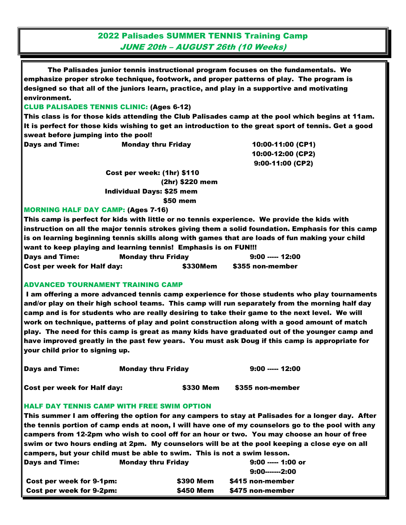2022 Palisades SUMMER TENNIS Training Camp JUNE 20th – AUGUST 26th (10 Weeks)

The Palisades junior tennis instructional program focuses on the fundamentals. We emphasize proper stroke technique, footwork, and proper patterns of play. The program is designed so that all of the juniors learn, practice, and play in a supportive and motivating environment.

## CLUB PALISADES TENNIS CLINIC: (Ages 6-12)

This class is for those kids attending the Club Palisades camp at the pool which begins at 11am. It is perfect for those kids wishing to get an introduction to the great sport of tennis. Get a good sweat before jumping into the pool!

Days and Time: Monday thru Friday 10:00-11:00 (CP1)

 10:00-12:00 (CP2) 9:00-11:00 (CP2)

 Cost per week: (1hr) \$110 (2hr) \$220 mem Individual Days: \$25 mem \$50 mem

## MORNING HALF DAY CAMP: (Ages 7-16)

This camp is perfect for kids with little or no tennis experience. We provide the kids with instruction on all the major tennis strokes giving them a solid foundation. Emphasis for this camp is on learning beginning tennis skills along with games that are loads of fun making your child want to keep playing and learning tennis! Emphasis is on FUN!!! Days and Time: The Monday thru Friday **12:00** ----- 12:00 Cost per week for Half day: \$330Mem \$355 non-member

## ADVANCED TOURNAMENT TRAINING CAMP

I am offering a more advanced tennis camp experience for those students who play tournaments and/or play on their high school teams. This camp will run separately from the morning half day camp and is for students who are really desiring to take their game to the next level. We will work on technique, patterns of play and point construction along with a good amount of match play. The need for this camp is great as many kids have graduated out of the younger camp and have improved greatly in the past few years. You must ask Doug if this camp is appropriate for your child prior to signing up.

| <b>Days and Time:</b> | <b>Monday thru Friday</b> | 9:00 ----- 12:00 |
|-----------------------|---------------------------|------------------|
|                       |                           |                  |

Cost per week for Half day: \$330 Mem \$355 non-member

## HALF DAY TENNIS CAMP WITH FREE SWIM OPTION

This summer I am offering the option for any campers to stay at Palisades for a longer day. After the tennis portion of camp ends at noon, I will have one of my counselors go to the pool with any campers from 12-2pm who wish to cool off for an hour or two. You may choose an hour of free swim or two hours ending at 2pm. My counselors will be at the pool keeping a close eye on all campers, but your child must be able to swim. This is not a swim lesson. Days and Time: Monday thru Friday 9:00 ----- 1:00 or

| .                        |                  | 9:00-------2:00  |
|--------------------------|------------------|------------------|
| Cost per week for 9-1pm: | <b>\$390 Mem</b> | \$415 non-member |
| Cost per week for 9-2pm: | <b>\$450 Mem</b> | \$475 non-member |